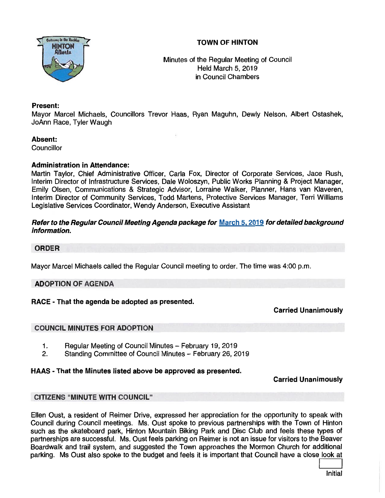# TOWN OF HINTON



Minutes of the Regular Meeting of Council Held March 5, 2019 in Council Chambers

## Present:

Mayor Marcel Michaels, Councillors Trevor Haas, Ryan Maguhn, Dewly Nelson, Albert Ostashek, JoAnn Race, Tyler Waugh

#### Absent:

**Councillor** 

### Administration in Attendance:

Martin Taylor, Chief Administrative Officer, Carla Fox, Director of Corporate Services, Jace Rush, Interim Director of Infrastructure Services, Dale Woloszyn, Public Works Planning & Project Manager, Emily Olsen, Communications & Strategic Advisor, Lorraine Walker, Planner, Hans van Klaveren, Interim Director of Community Services, Todd Martens, Protective Services Manager, Terri Williams Legislative Services Coordinator, Wendy Anderson, Executive Assistant

### Refer to the Regular Council Meeting Agenda package for March 5, 2019 for detailed background information.

## ORDER

Mayor Marcel Michaels called the Regular Council meeting to order. The time was 4:00 p.m.

## ADOPTION OF AGENDA

## RACE - That the agenda be adopted as presented.

Carried Unanimously

## COUNCIL MINUTES FOR ADOPTION

- 1. Regular Meeting of Council Minutes February 19, 2019
- 2. Standing Committee of Council Minutes February 26, 2019

#### HAAS -That the Minutes listed above be approved as presented.

Carried Unanimously

## CITIZENS "MINUTE WITH COUNCIL"

Ellen Oust, <sup>a</sup> resident of Reimer Drive, expresse<sup>d</sup> her appreciation for the opportunity to spea<sup>k</sup> with Council during Council meetings. Ms. Oust spoke to previous partnerships with the Town of Hinton such as the skateboard park, Hinton Mountain Biking Park and Disc Club and feels these types of partnerships are successful. Ms. Oust feels parking on Reimer is not an issue for visitors to the Beaver Boardwalk and trail system, and suggested the Town approaches the Mormon Church for additional parking. Ms Oust also spoke to the budget and feels it is important that Council have <sup>a</sup> close look at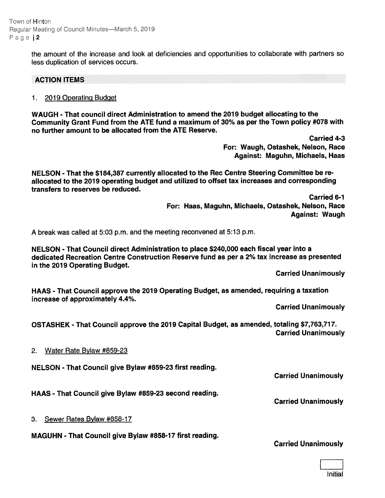Town of Hinton Regular Meeting of Council Minutes—March 5,2019 Page | 2

> the amount of the increase and look at deficiencies and opportunities to collaborate with partners so less duplication of services occurs.

#### ACTION ITEMS

1. 2019 Operating Budget

WAUGH -That council direct Administration to amend the 2019 budget allocating to the Community Grant Fund from the ATE fund <sup>a</sup> maximum of 30% as per the Town policy #078 with no further amount to be allocated from the ATE Reserve.

> Carried 4-3 For: Waugh, Ostashek, Nelson, Race Against: Maguhn, Michaels, Haas

NELSON - That the \$184,387 currently allocated to the Rec Centre Steering Committee be re allocated to the 2079 operating budget and utilized to offset tax increases and corresponding transfers to reserves be reduced.

> Carried 6-1 For: Haas, Maguhn, Michaels, Ostashek, Nelson, Race Against: Waugh

A break was called at 5:03 p.m. and the meeting reconvened at 5:13 p.m.

NELSON - That Council direct Administration to place \$240,000 each fiscal year into <sup>a</sup> dedicated Recreation Centre Construction Reserve fund as per <sup>a</sup> 2% tax increase as presented in the 2019 Operating Budget.

Carried Unanimously

HAAS - That Council approve the 2019 Operating Budget, as amended, requiring <sup>a</sup> taxation increase of approximately 4.4%.

Carried Unanimously

OSTASHEK - That Council approve the 2019 Capital Budget, as amended, totaling \$7,763,717. Carried Unanimously

2. Water Rate Bylaw #859-23

NELSON - That Council give Bylaw #859-23 first reading.

Carried Unanimously

Carried Unanimously

HAAS - That Council give Bylaw #859-23 second reading.

3. Sewer Rates Bylaw #858-17

MAGUHN - That Council give Bylaw #858-17 first reading.

Carried Unanimously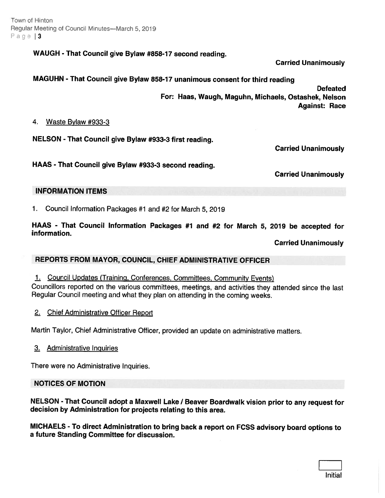Town of Hinton Regulat Meeting of Councit Minutes—March 5. 2019 Page  $3$ 

WAUGH - That Council give Bylaw #858-17 second reading.

Carried Unanimously

MAGUHN - That Council <sup>g</sup>ive Bylaw 858-17 unanimous consent for third reading

Defeated For: Haas, Waugh, Maguhn, Michaels, Ostashek, Nelson Against: Race

4. Waste Bylaw #933-3

NELSON - That Council <sup>g</sup>ive Bylaw #933-3 first reading.

Carried Unanimously

HAAS - That Council <sup>g</sup>ive Bylaw #933-3 second reading.

Carried Unanimously

### INFORMATION ITEMS

1. Council Information Packages #1 and #2 for March 5, 2019

HAAS - That Council Information Packages #1 and #2 for March 5, <sup>2079</sup> be accepted for information.

Carried Unanimously

## REPORTS FROM MAYOR, COUNCIL, CHIEF ADMINISTRATIVE OFFICER

- 1. Council Updates (Training, Conferences, Committees, Community Events) Councillors reported on the various committees, meetings, and activities they attended since the last Regular Council meeting and what they <sup>p</sup>lan on attending in the coming weeks.
- 2. Chief Administrative Officer Report

Martin Taylor, Chief Administrative Officer, provided an update on administrative matters.

3. Administrative Inguiries

There were no Administrative Inquiries.

#### NOTICES OF MOTION

NELSON - That Council adopt a Maxwell Lake / Beaver Boardwalk vision prior to any request for decision by Administration for projects relating to this area.

MICHAELS - To direct Administration to bring back <sup>a</sup> repor<sup>t</sup> on FCSS advisory board options to <sup>a</sup> future Standing Committee for discussion.